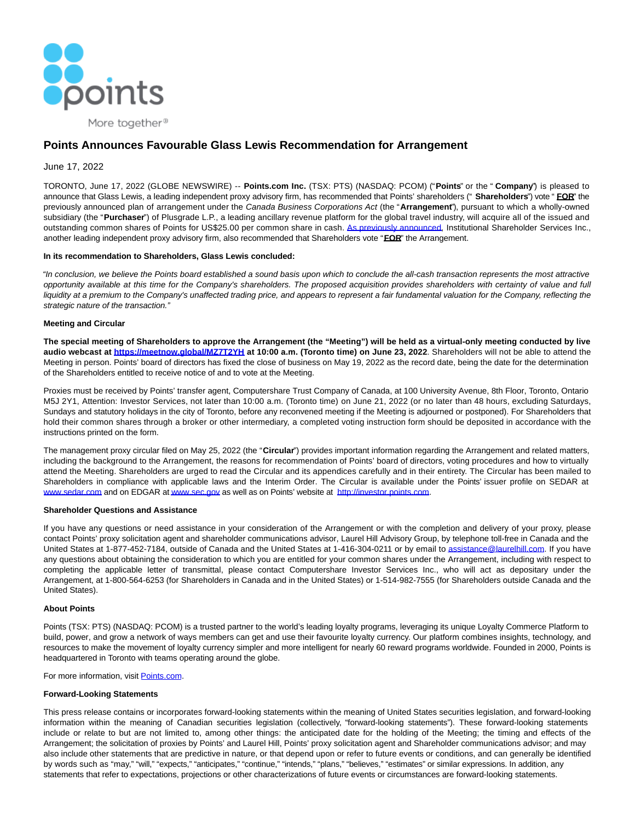

More together<sup>®</sup>

# **Points Announces Favourable Glass Lewis Recommendation for Arrangement**

# June 17, 2022

TORONTO, June 17, 2022 (GLOBE NEWSWIRE) -- **Points.com Inc.** (TSX: PTS) (NASDAQ: PCOM) ("**Points**" or the " **Company**") is pleased to announce that Glass Lewis, a leading independent proxy advisory firm, has recommended that Points' shareholders (" **Shareholders**") vote " **FOR**" the previously announced plan of arrangement under the Canada Business Corporations Act (the "**Arrangement**"), pursuant to which a wholly-owned subsidiary (the "**Purchaser**") of Plusgrade L.P., a leading ancillary revenue platform for the global travel industry, will acquire all of the issued and outstanding common shares of Points for US\$25.00 per common share in cash. [As previously announced,](https://www.globenewswire.com/Tracker?data=3x4lXs47mTCGWYzDoxt5UlhRpKYHSJSXn2OAWYW945BbNWXHGEgoGXwJpxLREOJXZXIV-pLNI5k2WNMspyKF7QyUAkELmt-kF11zyB8eMfHTKqQtUp0bD_SCDPgBgagTY2QdEYa4vgWpHFD9uSTBq_Xm-yYnP00Oev63Wzs4DS3Id-p2gpyVP-Bu6u4bQ7yDy2hnFtPqyDj58SqhTGReSnXm78eaZlhl-N4WV1CGF84QPkAT7ESUJvB8SMv5Jarq) Institutional Shareholder Services Inc., another leading independent proxy advisory firm, also recommended that Shareholders vote "**FOR**" the Arrangement.

## **In its recommendation to Shareholders, Glass Lewis concluded:**

"In conclusion, we believe the Points board established a sound basis upon which to conclude the all-cash transaction represents the most attractive opportunity available at this time for the Company's shareholders. The proposed acquisition provides shareholders with certainty of value and full liquidity at a premium to the Company's unaffected trading price, and appears to represent a fair fundamental valuation for the Company, reflecting the strategic nature of the transaction."

## **Meeting and Circular**

**The special meeting of Shareholders to approve the Arrangement (the "Meeting") will be held as a virtual-only meeting conducted by live audio webcast at [https://meetnow.global/MZ7T2YH a](https://www.globenewswire.com/Tracker?data=NvUB54IrMORw2HY1VRvZ0aQg8_9FGvj-Oht5JE6hnOUuFKTYXzSQTyTKTwSMhDkvNu_UjB3R28qDe4oA28Wpx1Zh6s7pD8Nie0t5_aG1AAqd0ApuuD9HGR-V7wG4vVMZ)t 10:00 a.m. (Toronto time) on June 23, 2022**. Shareholders will not be able to attend the Meeting in person. Points' board of directors has fixed the close of business on May 19, 2022 as the record date, being the date for the determination of the Shareholders entitled to receive notice of and to vote at the Meeting.

Proxies must be received by Points' transfer agent, Computershare Trust Company of Canada, at 100 University Avenue, 8th Floor, Toronto, Ontario M5J 2Y1, Attention: Investor Services, not later than 10:00 a.m. (Toronto time) on June 21, 2022 (or no later than 48 hours, excluding Saturdays, Sundays and statutory holidays in the city of Toronto, before any reconvened meeting if the Meeting is adjourned or postponed). For Shareholders that hold their common shares through a broker or other intermediary, a completed voting instruction form should be deposited in accordance with the instructions printed on the form.

The management proxy circular filed on May 25, 2022 (the "**Circular**") provides important information regarding the Arrangement and related matters, including the background to the Arrangement, the reasons for recommendation of Points' board of directors, voting procedures and how to virtually attend the Meeting. Shareholders are urged to read the Circular and its appendices carefully and in their entirety. The Circular has been mailed to Shareholders in compliance with applicable laws and the Interim Order. The Circular is available under the Points' issuer profile on SEDAR at [www.sedar.com a](https://www.globenewswire.com/Tracker?data=L4crWow9CziWE5HWAPWkUYrn_siB4mq21y2gkOKEhqSvDyaOqNsuIrQQYKaduxS6bwzJ6rsA-FabsdjBqw7d-Q==)nd on EDGAR a[t www.sec.gov a](https://www.globenewswire.com/Tracker?data=L4crWow9CziWE5HWAPWkUe7l7TKVJ1_cbw4a-0jMof9znLh5PHwn1C2J63pe-6twoDaYmj2lJslBdkbaJVZwMQ==)s well as on Points' website at [http://investor.points.com.](https://www.globenewswire.com/Tracker?data=oHffbL8Zn17Y0J3-GnJtUdoQ4ynlP7bixiOmvPCJWzQUcxqVoOBBPiG-59ydB38ShydG1yqPQMDSyDdwKNl1nl8WY39hZ6z6wA1N_i_y_jc=)

#### **Shareholder Questions and Assistance**

If you have any questions or need assistance in your consideration of the Arrangement or with the completion and delivery of your proxy, please contact Points' proxy solicitation agent and shareholder communications advisor, Laurel Hill Advisory Group, by telephone toll-free in Canada and the United States at 1-877-452-7184, outside of Canada and the United States at 1-416-304-0211 or by email t[o assistance@laurelhill.com.](https://www.globenewswire.com/Tracker?data=_BtlA05EjIVgMaadLcWWRqtNc5EubhPbp_iuR_GEzKzV6N39WhAwiSBZNyhzXlhkGGl3XRUwa8-6AwQd-DM0Qb4x7MgBityMZYMWiWje3pg=) If you have any questions about obtaining the consideration to which you are entitled for your common shares under the Arrangement, including with respect to completing the applicable letter of transmittal, please contact Computershare Investor Services Inc., who will act as depositary under the Arrangement, at 1-800-564-6253 (for Shareholders in Canada and in the United States) or 1-514-982-7555 (for Shareholders outside Canada and the United States).

## **About Points**

Points (TSX: PTS) (NASDAQ: PCOM) is a trusted partner to the world's leading loyalty programs, leveraging its unique Loyalty Commerce Platform to build, power, and grow a network of ways members can get and use their favourite loyalty currency. Our platform combines insights, technology, and resources to make the movement of loyalty currency simpler and more intelligent for nearly 60 reward programs worldwide. Founded in 2000, Points is headquartered in Toronto with teams operating around the globe.

For more information, visit [Points.com.](https://www.globenewswire.com/Tracker?data=GiS3SclbxtdnSVl2qFsuPFhHc_WDXg34WqDmuW96xz61d_fEdRJJs2kgHuF6g_sEcqNPefLHadBbTMmb0EEM1Q==)

## **Forward-Looking Statements**

This press release contains or incorporates forward-looking statements within the meaning of United States securities legislation, and forward-looking information within the meaning of Canadian securities legislation (collectively, "forward-looking statements"). These forward-looking statements include or relate to but are not limited to, among other things: the anticipated date for the holding of the Meeting; the timing and effects of the Arrangement; the solicitation of proxies by Points' and Laurel Hill, Points' proxy solicitation agent and Shareholder communications advisor; and may also include other statements that are predictive in nature, or that depend upon or refer to future events or conditions, and can generally be identified by words such as "may," "will," "expects," "anticipates," "continue," "intends," "plans," "believes," "estimates" or similar expressions. In addition, any statements that refer to expectations, projections or other characterizations of future events or circumstances are forward-looking statements.